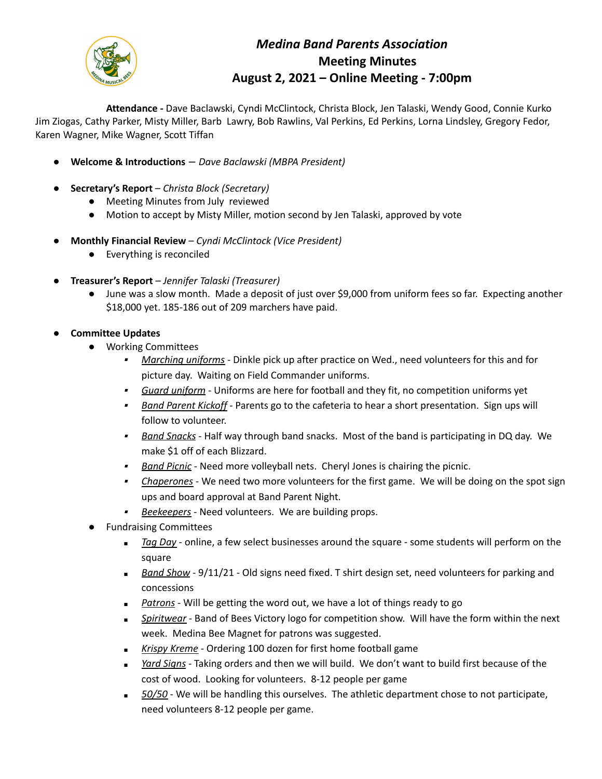

## *Medina Band Parents Association* **Meeting Minutes August 2, 2021 – Online Meeting - 7:00pm**

**Attendance -** Dave Baclawski, Cyndi McClintock, Christa Block, Jen Talaski, Wendy Good, Connie Kurko Jim Ziogas, Cathy Parker, Misty Miller, Barb Lawry, Bob Rawlins, Val Perkins, Ed Perkins, Lorna Lindsley, Gregory Fedor, Karen Wagner, Mike Wagner, Scott Tiffan

- **Welcome & Introductions** *Dave Baclawski (MBPA President)*
- **Secretary's Report** *Christa Block (Secretary)*
	- Meeting Minutes from July reviewed
	- Motion to accept by Misty Miller, motion second by Jen Talaski, approved by vote
- **Monthly Financial Review** *Cyndi McClintock (Vice President)*
	- Everything is reconciled
- **Treasurer's Report** *Jennifer Talaski (Treasurer)*
	- June was a slow month. Made a deposit of just over \$9,000 from uniform fees so far. Expecting another \$18,000 yet. 185-186 out of 209 marchers have paid.
- **Committee Updates**
	- Working Committees
		- *Marching uniforms* Dinkle pick up after practice on Wed., need volunteers for this and for picture day. Waiting on Field Commander uniforms.
		- *Guard uniform* Uniforms are here for football and they fit, no competition uniforms yet
		- ▪ *Band Parent Kickoff* - Parents go to the cafeteria to hear a short presentation. Sign ups will follow to volunteer.
		- ▪ *Band Snacks* - Half way through band snacks. Most of the band is participating in DQ day. We make \$1 off of each Blizzard.
		- ▪*Band Picnic* - Need more volleyball nets. Cheryl Jones is chairing the picnic.
		- *Chaperones* We need two more volunteers for the first game. We will be doing on the spot sign ups and board approval at Band Parent Night.
		- *Beekeepers* Need volunteers. We are building props.
	- Fundraising Committees
		- *■ Tag Day* online, a few select businesses around the square some students will perform on the square
		- *■ Band Show* 9/11/21 Old signs need fixed. T shirt design set, need volunteers for parking and concessions
		- *Patrons* Will be getting the word out, we have a lot of things ready to go
		- *■ Spiritwear* Band of Bees Victory logo for competition show. Will have the form within the next week. Medina Bee Magnet for patrons was suggested.
		- *■ Krispy Kreme* Ordering 100 dozen for first home football game
		- *Yard Signs* Taking orders and then we will build. We don't want to build first because of the cost of wood. Looking for volunteers. 8-12 people per game
		- *■ 50/50* We will be handling this ourselves. The athletic department chose to not participate, need volunteers 8-12 people per game.